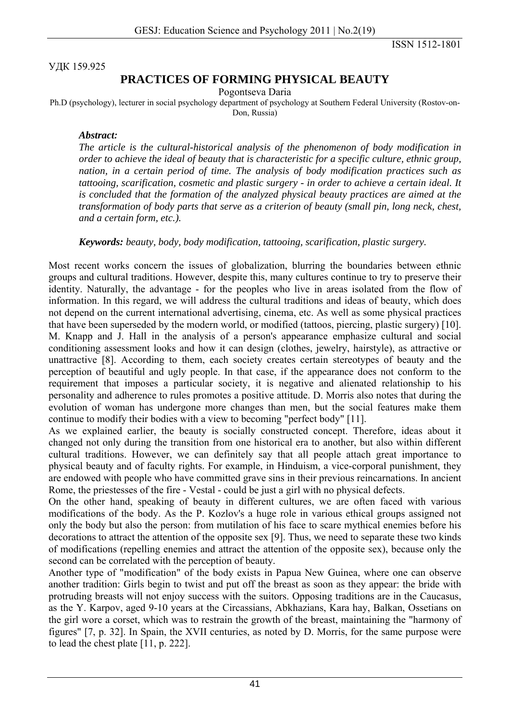ISSN 1512-1801

УДК 159.925

## **PRACTICES OF FORMING PHYSICAL BEAUTY**

Pogontseva Daria

Ph.D (psychology), lecturer in social psychology department of psychology at Southern Federal University (Rostov-on-Don, Russia)

## *Abstract:*

*The article is the cultural-historical analysis of the phenomenon of body modification in order to achieve the ideal of beauty that is characteristic for a specific culture, ethnic group, nation, in a certain period of time. The analysis of body modification practices such as tattooing, scarification, cosmetic and plastic surgery - in order to achieve a certain ideal. It is concluded that the formation of the analyzed physical beauty practices are aimed at the transformation of body parts that serve as a criterion of beauty (small pin, long neck, chest, and a certain form, etc.).* 

*Keywords: beauty, body, body modification, tattooing, scarification, plastic surgery.* 

Most recent works concern the issues of globalization, blurring the boundaries between ethnic groups and cultural traditions. However, despite this, many cultures continue to try to preserve their identity. Naturally, the advantage - for the peoples who live in areas isolated from the flow of information. In this regard, we will address the cultural traditions and ideas of beauty, which does not depend on the current international advertising, cinema, etc. As well as some physical practices that have been superseded by the modern world, or modified (tattoos, piercing, plastic surgery) [10]. M. Knapp and J. Hall in the analysis of a person's appearance emphasize cultural and social conditioning assessment looks and how it can design (clothes, jewelry, hairstyle), as attractive or unattractive [8]. According to them, each society creates certain stereotypes of beauty and the perception of beautiful and ugly people. In that case, if the appearance does not conform to the requirement that imposes a particular society, it is negative and alienated relationship to his personality and adherence to rules promotes a positive attitude. D. Morris also notes that during the evolution of woman has undergone more changes than men, but the social features make them continue to modify their bodies with a view to becoming "perfect body" [11].

As we explained earlier, the beauty is socially constructed concept. Therefore, ideas about it changed not only during the transition from one historical era to another, but also within different cultural traditions. However, we can definitely say that all people attach great importance to physical beauty and of faculty rights. For example, in Hinduism, a vice-corporal punishment, they are endowed with people who have committed grave sins in their previous reincarnations. In ancient Rome, the priestesses of the fire - Vestal - could be just a girl with no physical defects.

On the other hand, speaking of beauty in different cultures, we are often faced with various modifications of the body. As the P. Kozlov's a huge role in various ethical groups assigned not only the body but also the person: from mutilation of his face to scare mythical enemies before his decorations to attract the attention of the opposite sex [9]. Thus, we need to separate these two kinds of modifications (repelling enemies and attract the attention of the opposite sex), because only the second can be correlated with the perception of beauty.

Another type of "modification" of the body exists in Papua New Guinea, where one can observe another tradition: Girls begin to twist and put off the breast as soon as they appear: the bride with protruding breasts will not enjoy success with the suitors. Opposing traditions are in the Caucasus, as the Y. Karpov, aged 9-10 years at the Circassians, Abkhazians, Kara hay, Balkan, Ossetians on the girl wore a corset, which was to restrain the growth of the breast, maintaining the "harmony of figures" [7, p. 32]. In Spain, the XVII centuries, as noted by D. Morris, for the same purpose were to lead the chest plate [11, p. 222].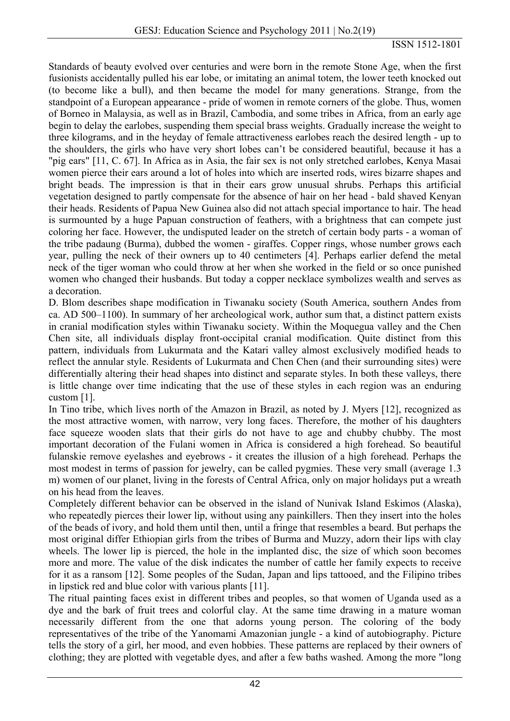Standards of beauty evolved over centuries and were born in the remote Stone Age, when the first fusionists accidentally pulled his ear lobe, or imitating an animal totem, the lower teeth knocked out (to become like a bull), and then became the model for many generations. Strange, from the standpoint of a European appearance - pride of women in remote corners of the globe. Thus, women of Borneo in Malaysia, as well as in Brazil, Cambodia, and some tribes in Africa, from an early age begin to delay the earlobes, suspending them special brass weights. Gradually increase the weight to three kilograms, and in the heyday of female attractiveness earlobes reach the desired length - up to the shoulders, the girls who have very short lobes can't be considered beautiful, because it has a "pig ears" [11, C. 67]. In Africa as in Asia, the fair sex is not only stretched earlobes, Kenya Masai women pierce their ears around a lot of holes into which are inserted rods, wires bizarre shapes and bright beads. The impression is that in their ears grow unusual shrubs. Perhaps this artificial vegetation designed to partly compensate for the absence of hair on her head - bald shaved Kenyan their heads. Residents of Papua New Guinea also did not attach special importance to hair. The head is surmounted by a huge Papuan construction of feathers, with a brightness that can compete just coloring her face. However, the undisputed leader on the stretch of certain body parts - a woman of the tribe padaung (Burma), dubbed the women - giraffes. Copper rings, whose number grows each year, pulling the neck of their owners up to 40 centimeters [4]. Perhaps earlier defend the metal neck of the tiger woman who could throw at her when she worked in the field or so once punished women who changed their husbands. But today a copper necklace symbolizes wealth and serves as a decoration.

D. Blom describes shape modification in Tiwanaku society (South America, southern Andes from ca. AD 500–1100). In summary of her archeological work, author sum that, a distinct pattern exists in cranial modification styles within Tiwanaku society. Within the Moquegua valley and the Chen Chen site, all individuals display front-occipital cranial modification. Quite distinct from this pattern, individuals from Lukurmata and the Katari valley almost exclusively modified heads to reflect the annular style. Residents of Lukurmata and Chen Chen (and their surrounding sites) were differentially altering their head shapes into distinct and separate styles. In both these valleys, there is little change over time indicating that the use of these styles in each region was an enduring custom [1].

In Tino tribe, which lives north of the Amazon in Brazil, as noted by J. Myers [12], recognized as the most attractive women, with narrow, very long faces. Therefore, the mother of his daughters face squeeze wooden slats that their girls do not have to age and chubby chubby. The most important decoration of the Fulani women in Africa is considered a high forehead. So beautiful fulanskie remove eyelashes and eyebrows - it creates the illusion of a high forehead. Perhaps the most modest in terms of passion for jewelry, can be called pygmies. These very small (average 1.3 m) women of our planet, living in the forests of Central Africa, only on major holidays put a wreath on his head from the leaves.

Completely different behavior can be observed in the island of Nunivak Island Eskimos (Alaska), who repeatedly pierces their lower lip, without using any painkillers. Then they insert into the holes of the beads of ivory, and hold them until then, until a fringe that resembles a beard. But perhaps the most original differ Ethiopian girls from the tribes of Burma and Muzzy, adorn their lips with clay wheels. The lower lip is pierced, the hole in the implanted disc, the size of which soon becomes more and more. The value of the disk indicates the number of cattle her family expects to receive for it as a ransom [12]. Some peoples of the Sudan, Japan and lips tattooed, and the Filipino tribes in lipstick red and blue color with various plants [11].

The ritual painting faces exist in different tribes and peoples, so that women of Uganda used as a dye and the bark of fruit trees and colorful clay. At the same time drawing in a mature woman necessarily different from the one that adorns young person. The coloring of the body representatives of the tribe of the Yanomami Amazonian jungle - a kind of autobiography. Picture tells the story of a girl, her mood, and even hobbies. These patterns are replaced by their owners of clothing; they are plotted with vegetable dyes, and after a few baths washed. Among the more "long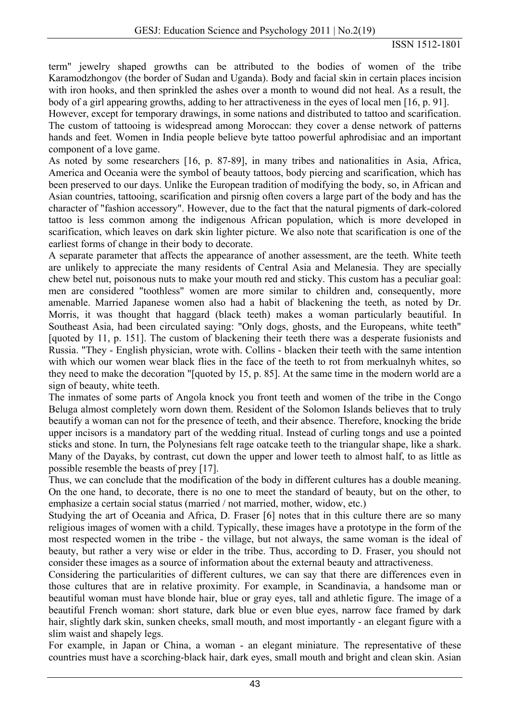term" jewelry shaped growths can be attributed to the bodies of women of the tribe Karamodzhongov (the border of Sudan and Uganda). Body and facial skin in certain places incision with iron hooks, and then sprinkled the ashes over a month to wound did not heal. As a result, the body of a girl appearing growths, adding to her attractiveness in the eyes of local men [16, p. 91].

However, except for temporary drawings, in some nations and distributed to tattoo and scarification. The custom of tattooing is widespread among Moroccan: they cover a dense network of patterns hands and feet. Women in India people believe byte tattoo powerful aphrodisiac and an important component of a love game.

As noted by some researchers [16, p. 87-89], in many tribes and nationalities in Asia, Africa, America and Oceania were the symbol of beauty tattoos, body piercing and scarification, which has been preserved to our days. Unlike the European tradition of modifying the body, so, in African and Asian countries, tattooing, scarification and pirsnig often covers a large part of the body and has the character of "fashion accessory". However, due to the fact that the natural pigments of dark-colored tattoo is less common among the indigenous African population, which is more developed in scarification, which leaves on dark skin lighter picture. We also note that scarification is one of the earliest forms of change in their body to decorate.

A separate parameter that affects the appearance of another assessment, are the teeth. White teeth are unlikely to appreciate the many residents of Central Asia and Melanesia. They are specially chew betel nut, poisonous nuts to make your mouth red and sticky. This custom has a peculiar goal: men are considered "toothless" women are more similar to children and, consequently, more amenable. Married Japanese women also had a habit of blackening the teeth, as noted by Dr. Morris, it was thought that haggard (black teeth) makes a woman particularly beautiful. In Southeast Asia, had been circulated saying: "Only dogs, ghosts, and the Europeans, white teeth" [quoted by 11, p. 151]. The custom of blackening their teeth there was a desperate fusionists and Russia. "They - English physician, wrote with. Collins - blacken their teeth with the same intention with which our women wear black flies in the face of the teeth to rot from merkualnyh whites, so they need to make the decoration "[quoted by 15, p. 85]. At the same time in the modern world are a sign of beauty, white teeth.

The inmates of some parts of Angola knock you front teeth and women of the tribe in the Congo Beluga almost completely worn down them. Resident of the Solomon Islands believes that to truly beautify a woman can not for the presence of teeth, and their absence. Therefore, knocking the bride upper incisors is a mandatory part of the wedding ritual. Instead of curling tongs and use a pointed sticks and stone. In turn, the Polynesians felt rage oatcake teeth to the triangular shape, like a shark. Many of the Dayaks, by contrast, cut down the upper and lower teeth to almost half, to as little as possible resemble the beasts of prey [17].

Thus, we can conclude that the modification of the body in different cultures has a double meaning. On the one hand, to decorate, there is no one to meet the standard of beauty, but on the other, to emphasize a certain social status (married / not married, mother, widow, etc.)

Studying the art of Oceania and Africa, D. Fraser [6] notes that in this culture there are so many religious images of women with a child. Typically, these images have a prototype in the form of the most respected women in the tribe - the village, but not always, the same woman is the ideal of beauty, but rather a very wise or elder in the tribe. Thus, according to D. Fraser, you should not consider these images as a source of information about the external beauty and attractiveness.

Considering the particularities of different cultures, we can say that there are differences even in those cultures that are in relative proximity. For example, in Scandinavia, a handsome man or beautiful woman must have blonde hair, blue or gray eyes, tall and athletic figure. The image of a beautiful French woman: short stature, dark blue or even blue eyes, narrow face framed by dark hair, slightly dark skin, sunken cheeks, small mouth, and most importantly - an elegant figure with a slim waist and shapely legs.

For example, in Japan or China, a woman - an elegant miniature. The representative of these countries must have a scorching-black hair, dark eyes, small mouth and bright and clean skin. Asian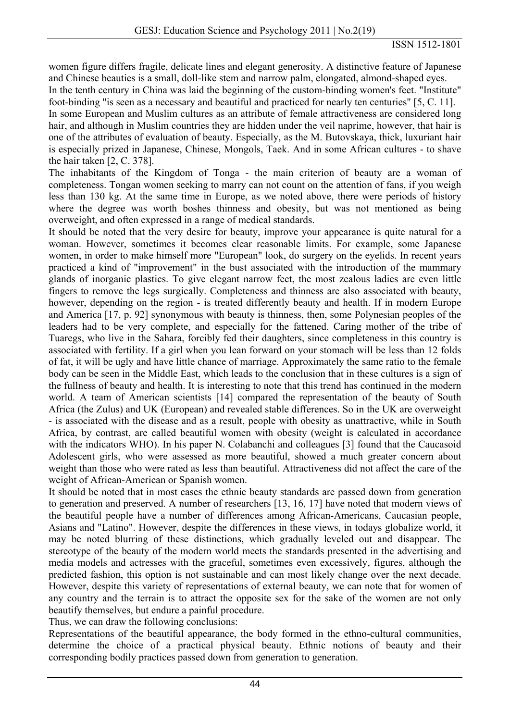women figure differs fragile, delicate lines and elegant generosity. A distinctive feature of Japanese and Chinese beauties is a small, doll-like stem and narrow palm, elongated, almond-shaped eyes.

In the tenth century in China was laid the beginning of the custom-binding women's feet. "Institute" foot-binding "is seen as a necessary and beautiful and practiced for nearly ten centuries" [5, C. 11].

In some European and Muslim cultures as an attribute of female attractiveness are considered long hair, and although in Muslim countries they are hidden under the veil naprime, however, that hair is one of the attributes of evaluation of beauty. Especially, as the M. Butovskaya, thick, luxuriant hair is especially prized in Japanese, Chinese, Mongols, Taek. And in some African cultures - to shave the hair taken [2, C. 378].

The inhabitants of the Kingdom of Tonga - the main criterion of beauty are a woman of completeness. Tongan women seeking to marry can not count on the attention of fans, if you weigh less than 130 kg. At the same time in Europe, as we noted above, there were periods of history where the degree was worth boshes thinness and obesity, but was not mentioned as being overweight, and often expressed in a range of medical standards.

It should be noted that the very desire for beauty, improve your appearance is quite natural for a woman. However, sometimes it becomes clear reasonable limits. For example, some Japanese women, in order to make himself more "European" look, do surgery on the eyelids. In recent years practiced a kind of "improvement" in the bust associated with the introduction of the mammary glands of inorganic plastics. To give elegant narrow feet, the most zealous ladies are even little fingers to remove the legs surgically. Completeness and thinness are also associated with beauty, however, depending on the region - is treated differently beauty and health. If in modern Europe and America [17, p. 92] synonymous with beauty is thinness, then, some Polynesian peoples of the leaders had to be very complete, and especially for the fattened. Caring mother of the tribe of Tuaregs, who live in the Sahara, forcibly fed their daughters, since completeness in this country is associated with fertility. If a girl when you lean forward on your stomach will be less than 12 folds of fat, it will be ugly and have little chance of marriage. Approximately the same ratio to the female body can be seen in the Middle East, which leads to the conclusion that in these cultures is a sign of the fullness of beauty and health. It is interesting to note that this trend has continued in the modern world. A team of American scientists [14] compared the representation of the beauty of South Africa (the Zulus) and UK (European) and revealed stable differences. So in the UK are overweight - is associated with the disease and as a result, people with obesity as unattractive, while in South Africa, by contrast, are called beautiful women with obesity (weight is calculated in accordance with the indicators WHO). In his paper N. Colabanchi and colleagues [3] found that the Caucasoid Adolescent girls, who were assessed as more beautiful, showed a much greater concern about weight than those who were rated as less than beautiful. Attractiveness did not affect the care of the weight of African-American or Spanish women.

It should be noted that in most cases the ethnic beauty standards are passed down from generation to generation and preserved. A number of researchers [13, 16, 17] have noted that modern views of the beautiful people have a number of differences among African-Americans, Caucasian people, Asians and "Latino". However, despite the differences in these views, in todays globalize world, it may be noted blurring of these distinctions, which gradually leveled out and disappear. The stereotype of the beauty of the modern world meets the standards presented in the advertising and media models and actresses with the graceful, sometimes even excessively, figures, although the predicted fashion, this option is not sustainable and can most likely change over the next decade. However, despite this variety of representations of external beauty, we can note that for women of any country and the terrain is to attract the opposite sex for the sake of the women are not only beautify themselves, but endure a painful procedure.

Thus, we can draw the following conclusions:

Representations of the beautiful appearance, the body formed in the ethno-cultural communities, determine the choice of a practical physical beauty. Ethnic notions of beauty and their corresponding bodily practices passed down from generation to generation.